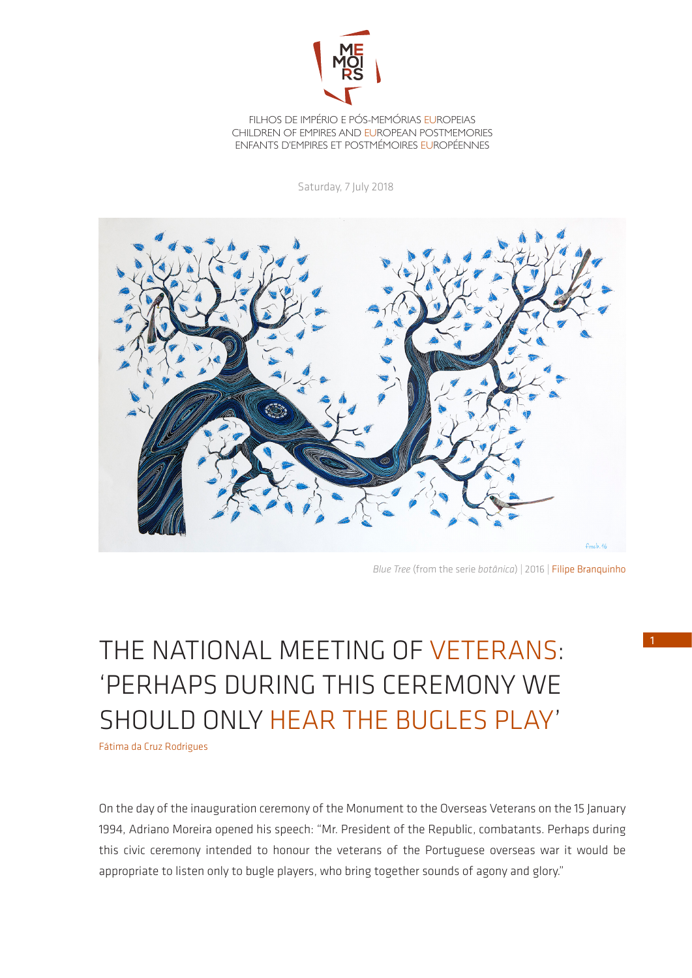

FILHOS DE IMPÉRIO E PÓS-MEMÓRIAS EUROPEIAS CHILDREN OF EMPIRES AND EUROPEAN POSTMEMORIES ENFANTS D'EMPIRES ET POSTMÉMOIRES EUROPÉENNES

Saturday, 7 July 2018



*Blue Tree* (from the serie *botânica*) | 2016 | [Filipe Branquinho](http://www.buala.org/pt/autor/filipe-branquinho)

## THE NATIONAL MEETING OF VETERANS: 'PERHAPS DURING THIS CEREMONY WE SHOULD ONLY HEAR THE BUGLES PLAY'

Fátima da Cruz Rodrigues

On the day of the inauguration ceremony of the Monument to the Overseas Veterans on the 15 January 1994, Adriano Moreira opened his speech: "Mr. President of the Republic, combatants. Perhaps during this civic ceremony intended to honour the veterans of the Portuguese overseas war it would be appropriate to listen only to bugle players, who bring together sounds of agony and glory."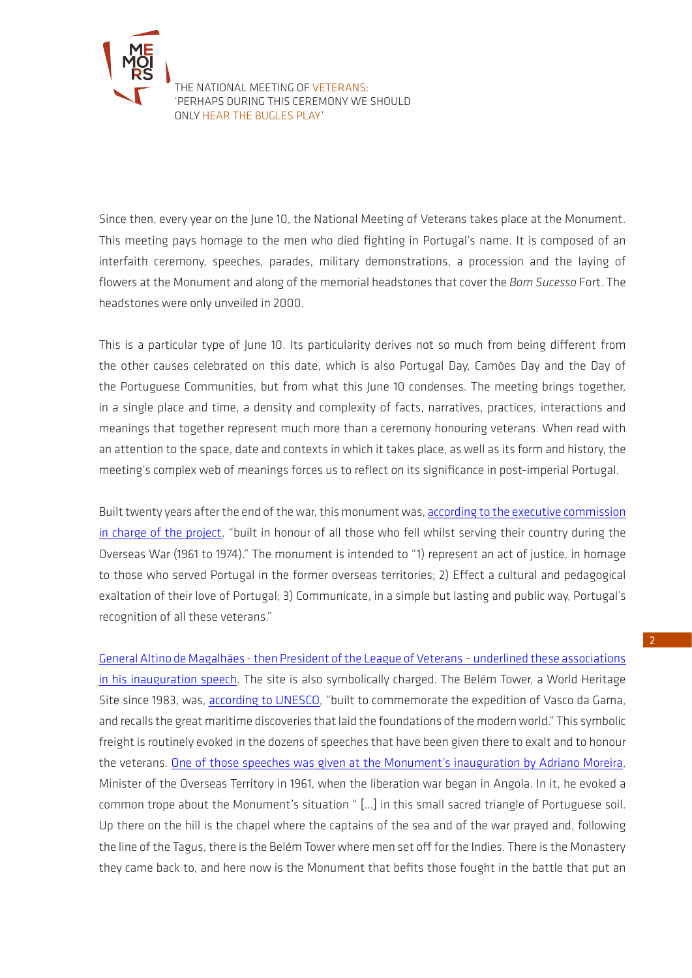

THE NATIONAL MEETING OF VETERANS: 'PERHAPS DURING THIS CEREMONY WE SHOULD ONLY HEAR THE BUGLES PLAY'

Since then, every year on the June 10, the National Meeting of Veterans takes place at the Monument. This meeting pays homage to the men who died fighting in Portugal's name. It is composed of an interfaith ceremony, speeches, parades, military demonstrations, a procession and the laying of flowers at the Monument and along of the memorial headstones that cover the *Bom Sucesso* Fort. The headstones were only unveiled in 2000.

This is a particular type of June 10. Its particularity derives not so much from being different from the other causes celebrated on this date, which is also Portugal Day, Camões Day and the Day of the Portuguese Communities, but from what this June 10 condenses. The meeting brings together, in a single place and time, a density and complexity of facts, narratives, practices, interactions and meanings that together represent much more than a ceremony honouring veterans. When read with an attention to the space, date and contexts in which it takes place, as well as its form and history, the meeting's complex web of meanings forces us to reflect on its significance in post-imperial Portugal.

Built twenty years after the end of the war, this monument was, according to the executive commission [in charge of the project,](http://www.ligacombatentes.org.pt/upload/forte_bom_sucesso/exp_permanentes/003.pdf) "built in honour of all those who fell whilst serving their country during the Overseas War (1961 to 1974)." The monument is intended to "1) represent an act of justice, in homage to those who served Portugal in the former overseas territories; 2) Effect a cultural and pedagogical exaltation of their love of Portugal; 3) Communicate, in a simple but lasting and public way, Portugal's recognition of all these veterans."

[General Altino de Magalhães - then President of the League of Veterans – underlined these associations](https://youtu.be/ijdf_HaCPCQ?t=5m31s)  [in his inauguration speech.](https://youtu.be/ijdf_HaCPCQ?t=5m31s) The site is also symbolically charged. The Belém Tower, a World Heritage Site since 1983, was, [according to UNESCO,](http://whc.unesco.org/en/list/263) "built to commemorate the expedition of Vasco da Gama, and recalls the great maritime discoveries that laid the foundations of the modern world." This symbolic freight is routinely evoked in the dozens of speeches that have been given there to exalt and to honour the veterans. [One of those speeches was given at the Monument's inauguration by Adriano Moreira,](https://youtu.be/ijdf_HaCPCQ?t=19m28s) Minister of the Overseas Territory in 1961, when the liberation war began in Angola. In it, he evoked a common trope about the Monument's situation " […] in this small sacred triangle of Portuguese soil. Up there on the hill is the chapel where the captains of the sea and of the war prayed and, following the line of the Tagus, there is the Belém Tower where men set off for the Indies. There is the Monastery they came back to, and here now is the Monument that befits those fought in the battle that put an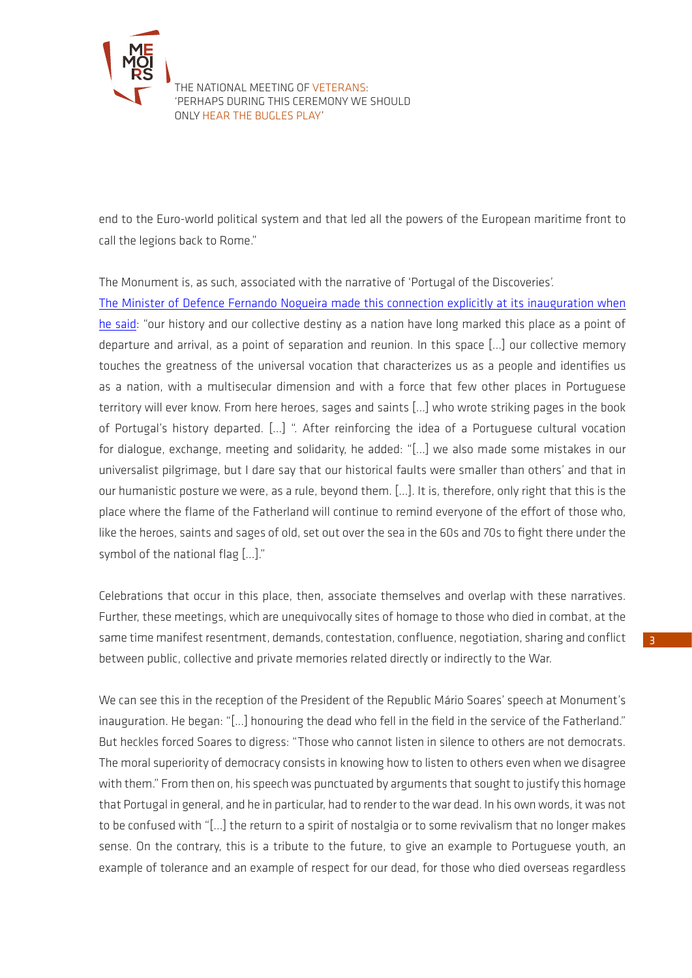

THE NATIONAL MEETING OF VETERANS: 'PERHAPS DURING THIS CEREMONY WE SHOULD ONLY HEAR THE BUGLES PLAY'

end to the Euro-world political system and that led all the powers of the European maritime front to call the legions back to Rome."

The Monument is, as such, associated with the narrative of 'Portugal of the Discoveries'.

[The Minister of Defence Fernando Nogueira made this connection explicitly at its inauguration when](https://youtu.be/ijdf_HaCPCQ?t=33m31s)  [he said](https://youtu.be/ijdf_HaCPCQ?t=33m31s): "our history and our collective destiny as a nation have long marked this place as a point of departure and arrival, as a point of separation and reunion. In this space [...] our collective memory touches the greatness of the universal vocation that characterizes us as a people and identifies us as a nation, with a multisecular dimension and with a force that few other places in Portuguese territory will ever know. From here heroes, sages and saints [...] who wrote striking pages in the book of Portugal's history departed. [...] ". After reinforcing the idea of a Portuguese cultural vocation for dialogue, exchange, meeting and solidarity, he added: "[...] we also made some mistakes in our universalist pilgrimage, but I dare say that our historical faults were smaller than others' and that in our humanistic posture we were, as a rule, beyond them. [...]. It is, therefore, only right that this is the place where the flame of the Fatherland will continue to remind everyone of the effort of those who, like the heroes, saints and sages of old, set out over the sea in the 60s and 70s to fight there under the symbol of the national flag [...]."

Celebrations that occur in this place, then, associate themselves and overlap with these narratives. Further, these meetings, which are unequivocally sites of homage to those who died in combat, at the same time manifest resentment, demands, contestation, confluence, negotiation, sharing and conflict between public, collective and private memories related directly or indirectly to the War.

We can see this in the reception of the President of the Republic Mário Soares' speech at Monument's inauguration. He began: "[...] honouring the dead who fell in the field in the service of the Fatherland." But heckles forced Soares to digress: "Those who cannot listen in silence to others are not democrats. The moral superiority of democracy consists in knowing how to listen to others even when we disagree with them." From then on, his speech was punctuated by arguments that sought to justify this homage that Portugal in general, and he in particular, had to render to the war dead. In his own words, it was not to be confused with "[...] the return to a spirit of nostalgia or to some revivalism that no longer makes sense. On the contrary, this is a tribute to the future, to give an example to Portuguese youth, an example of tolerance and an example of respect for our dead, for those who died overseas regardless